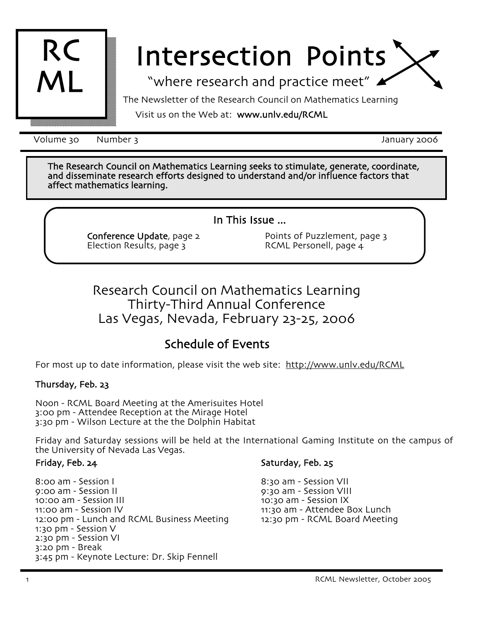

# Intersection Points

"where research and practice meet"

The Newsletter of the Research Council on Mathematics Learning

## Visit us on the Web at: www.unlv.edu/RCML

Volume 30 and Number 3 and 1990 and 2006 and 2006 and 2006 and 2006 and 2006 and 2006 and 2006 and 2006 and 200

The Research Council on Mathematics Learning seeks to stimulate, generate, coordinate, and disseminate research efforts designed to understand and,or influence factors that affect mathematics learning.

In This Issue  $...$ 

Conference Update, page 2 Election Results, page 3

Points of Puzzlement, page 3 RCML Personell, page  $4$ 

# Research Council on Mathematics Learning Thirty-Third Annual Conference Las Vegas, Nevada, February 23-25, 2006

# Schedule of Events

For most up to date information, please visit the web site: http://www.unlv.edu/RCML

## Thursday, Feb. 23

Noon - RCML Board Meeting at the Amerisuites Hotel 3:00 pm - Attendee Reception at the Mirage Hotel 3:30 pm - Wilson Lecture at the the Dolphin Habitat

Friday and Saturday sessions will be held at the International Gaming Institute on the campus of the University of Nevada Las Vegas.

### Friday, Feb. 24

8:00 am - Session I 9:00 am - Session II 10:00 am - Session III 11:00 am - Session IV 12:00 pm - Lunch and RCML Business Meeting 1:30 pm - Session V  $2:30$  pm - Session VI  $3:20$  pm - Break 3:45 pm - Keynote Lecture: Dr. Skip Fennell

#### Saturday, Feb. 25

8:30 am - Session VII 9:30 am - Session VIII 10:30 am - Session IX 11:30 am - Attendee Box Lunch 12:30 pm - RCML Board Meeting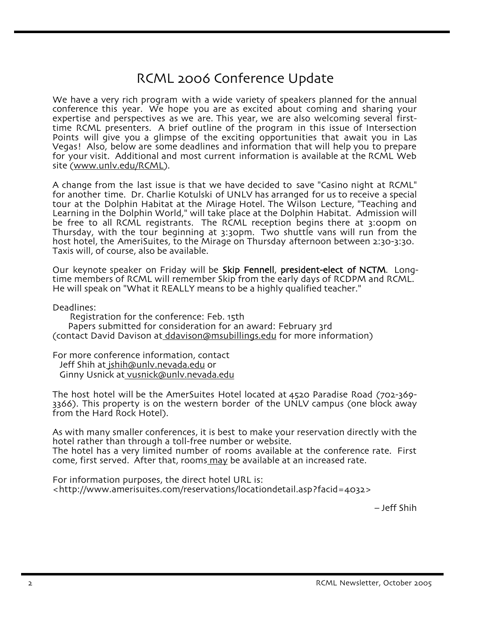# RCML 2006 Conference Update

We have a very rich program with a wide variety of speakers planned for the annual conference this year. We hope you are as excited about coming and sharing your expertise and perspectives as we are. This year, we are also welcoming several first-<br>time RCML presenters. A brief outline of the program in this issue of Intersection Points will give you a glimpse of the exciting opportunities that await you in Las Vegas! Also, below are some deadlines and information that will help you to prepare for your visit. Additional and most current information is available at the RCML Web site (www.unlv.edu/RCML).

A change from the last issue is that we have decided to save "Casino night at RCML" for another time. Dr. Charlie Kotulski of UNLV has arranged for us to receive a special tour at the Dolphin Habitat at the Mirage Hotel. The Wilson Lecture, "Teaching and Learning in the Dolphin World," will take place at the Dolphin Habitat. Admission will be free to all RCML registrants. The RCML reception begins there at 3:00pm on Thursday, with the tour beginning at 3:30pm. Two shuttle vans will run from the host hotel, the AmeriSuites, to the Mirage on Thursday afternoon between 2:30-3:30. Taxis will, of course, also be available.

Our keynote speaker on Friday will be Skip Fennell, president-elect of NCTM. Longtime members of RCML will remember Skip from the early days of RCDPM and RCML+ He will speak on "What it REALLY means to be a highly qualified teacher."

Deadlines:

Registration for the conference: Feb. 15th

Papers submitted for consideration for an award: February 3rd (contact David Davison at ddavison@msubillings.edu for more information)

For more conference information, contact Jeff Shih at jshih@unlv+nevada+edu or Ginny Usnick at vusnick@unlv.nevada.edu

The host hotel will be the AmerSuites Hotel located at  $4520$  Paradise Road  $(702-369-$ 3366). This property is on the western border of the UNLV campus (one block away from the Hard Rock Hotel).

As with many smaller conferences, it is best to make your reservation directly with the hotel rather than through a toll-free number or website. The hotel has a very limited number of rooms available at the conference rate. First come, first served. After that, rooms may be available at an increased rate.

For information purposes, the direct hotel URL is: <http://www.amerisuites.com/reservations/locationdetail.asp?facid=4032>

- Jeff Shih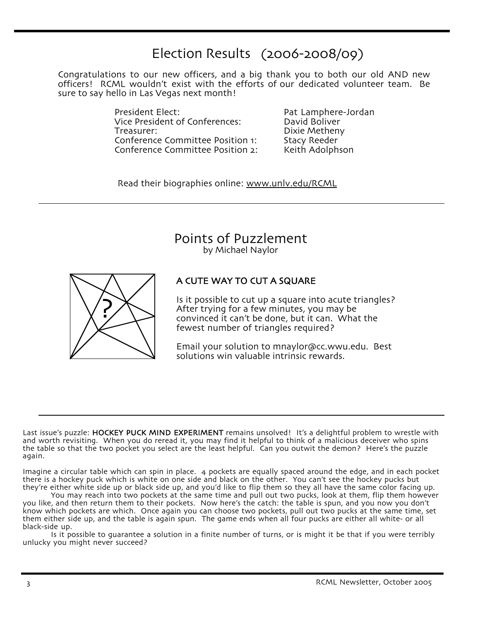# Election Results  $(2006 - 2008/09)$

Congratulations to our new officers, and a big thank you to both our old AND new officers! RCML wouldn't exist with the efforts of our dedicated volunteer team. Be sure to say hello in Las Vegas next month!

> President Elect:<br>Vice President of Conferences: Pavid Boliver Vice President of Conferences: Treasurer: Dixie Metheny<br>Conference Committee Position 1: Stacy Reeder Conference Committee Position 1: Conference Committee Position 2: Keith Adolphson

Read their biographies online: www.unlv.edu/RCML

Points of Puzzlement

by Michael Naylor



## A CUTE WAY TO CUT A SQUARE

Is it possible to cut up a square into acute triangles? After trying for a few minutes, you may be convinced it can't be done, but it can. What the fewest number of triangles required?

Email your solution to mnaylor@cc.wwu.edu. Best solutions win valuable intrinsic rewards.

Last issue's puzzle: HOCKEY PUCK MIND EXPERIMENT remains unsolved! It's a delightful problem to wrestle with and worth revisiting. When you do reread it, you may find it helpful to think of a malicious deceiver who spins the table so that the two pocket you select are the least helpful. Can you outwit the demon? Here's the puzzle again.

Imagine a circular table which can spin in place. 4 pockets are equally spaced around the edge, and in each pocket there is a hockey puck which is white on one side and black on the other. You can't see the hockey pucks but they're either white side up or black side up, and you'd like to flip them so they all have the same color facing up.

You may reach into two pockets at the same time and pull out two pucks, look at them, flip them however you like, and then return them to their pockets. Now here's the catch: the table is spun, and you now you don't know which pockets are which. Once again you can choose two pockets, pull out two pucks at the same time, set them either side up, and the table is again spun. The game ends when all four pucks are either all white- or all black-side up.

Is it possible to guarantee a solution in a finite number of turns, or is might it be that if you were terribly unlucky you might never succeed?